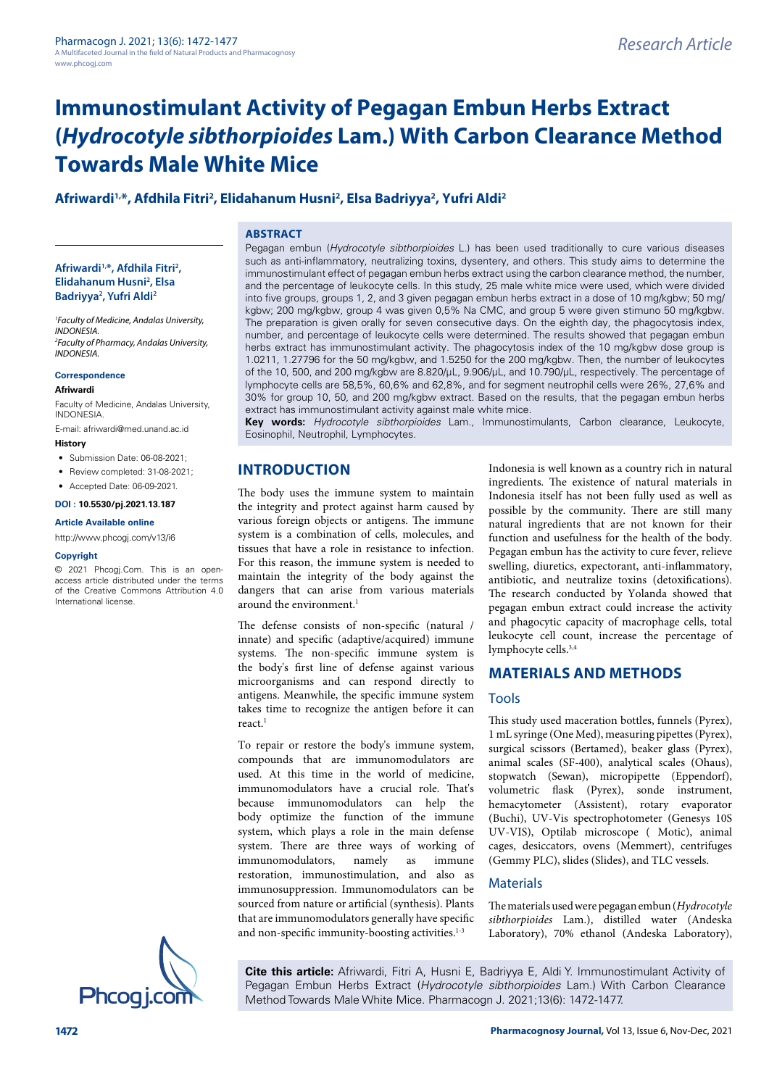# **Afriwardi1,\*, Afdhila Fitri2 , Elidahanum Husni2 , Elsa Badriyya2 , Yufri Aldi2**

## **ABSTRACT**

#### **Afriwardi1,\*, Afdhila Fitri2 , Elidahanum Husni2 , Elsa Badriyya2 , Yufri Aldi2**

*1 Faculty of Medicine, Andalas University, INDONESIA. 2 Faculty of Pharmacy, Andalas University, INDONESIA.*

#### **Correspondence**

#### **Afriwardi**

Faculty of Medicine, Andalas University, INDONESIA.

E-mail: afriwardi@med.unand.ac.id **History**

- 
- Submission Date: 06-08-2021;
- Review completed: 31-08-2021:
- Accepted Date: 06-09-2021.

#### **DOI : 10.5530/pj.2021.13.187**

#### **Article Available online**

[http://www.phcogj.com/v13/i6](http://www.phcogj.com/v13/i4)

#### **Copyright**

© 2021 Phcogj.Com. This is an openaccess article distributed under the terms of the Creative Commons Attribution 4.0 International license.

Pegagan embun (*Hydrocotyle sibthorpioides* L.) has been used traditionally to cure various diseases such as anti-inflammatory, neutralizing toxins, dysentery, and others. This study aims to determine the immunostimulant effect of pegagan embun herbs extract using the carbon clearance method, the number, and the percentage of leukocyte cells. In this study, 25 male white mice were used, which were divided into five groups, groups 1, 2, and 3 given pegagan embun herbs extract in a dose of 10 mg/kgbw; 50 mg/ kgbw; 200 mg/kgbw, group 4 was given 0,5% Na CMC, and group 5 were given stimuno 50 mg/kgbw. The preparation is given orally for seven consecutive days. On the eighth day, the phagocytosis index, number, and percentage of leukocyte cells were determined. The results showed that pegagan embun herbs extract has immunostimulant activity. The phagocytosis index of the 10 mg/kgbw dose group is 1.0211, 1.27796 for the 50 mg/kgbw, and 1.5250 for the 200 mg/kgbw. Then, the number of leukocytes of the 10, 500, and 200 mg/kgbw are 8.820/µL, 9.906/µL, and 10.790/µL, respectively. The percentage of lymphocyte cells are 58,5%, 60,6% and 62,8%, and for segment neutrophil cells were 26%, 27,6% and 30% for group 10, 50, and 200 mg/kgbw extract. Based on the results, that the pegagan embun herbs extract has immunostimulant activity against male white mice.

**Key words:** *Hydrocotyle sibthorpioides* Lam., Immunostimulants, Carbon clearance, Leukocyte, Eosinophil, Neutrophil, Lymphocytes.

# **INTRODUCTION**

The body uses the immune system to maintain the integrity and protect against harm caused by various foreign objects or antigens. The immune system is a combination of cells, molecules, and tissues that have a role in resistance to infection. For this reason, the immune system is needed to maintain the integrity of the body against the dangers that can arise from various materials around the environment.<sup>1</sup>

The defense consists of non-specific (natural / innate) and specific (adaptive/acquired) immune systems. The non-specific immune system is the body's first line of defense against various microorganisms and can respond directly to antigens. Meanwhile, the specific immune system takes time to recognize the antigen before it can react $1$ 

To repair or restore the body's immune system, compounds that are immunomodulators are used. At this time in the world of medicine, immunomodulators have a crucial role. That's because immunomodulators can help the body optimize the function of the immune system, which plays a role in the main defense system. There are three ways of working of immunomodulators, namely as immune restoration, immunostimulation, and also as immunosuppression. Immunomodulators can be sourced from nature or artificial (synthesis). Plants that are immunomodulators generally have specific and non-specific immunity-boosting activities.<sup>1-3</sup>

Indonesia is well known as a country rich in natural ingredients. The existence of natural materials in Indonesia itself has not been fully used as well as possible by the community. There are still many natural ingredients that are not known for their function and usefulness for the health of the body. Pegagan embun has the activity to cure fever, relieve swelling, diuretics, expectorant, anti-inflammatory, antibiotic, and neutralize toxins (detoxifications). The research conducted by Yolanda showed that pegagan embun extract could increase the activity and phagocytic capacity of macrophage cells, total leukocyte cell count, increase the percentage of lymphocyte cells.3,4

# **MATERIALS AND METHODS**

## Tools

This study used maceration bottles, funnels (Pyrex), 1 mL syringe (One Med), measuring pipettes (Pyrex), surgical scissors (Bertamed), beaker glass (Pyrex), animal scales (SF-400), analytical scales (Ohaus), stopwatch (Sewan), micropipette (Eppendorf), volumetric flask (Pyrex), sonde instrument, hemacytometer (Assistent), rotary evaporator (Buchi), UV-Vis spectrophotometer (Genesys 10S UV-VIS), Optilab microscope ( Motic), animal cages, desiccators, ovens (Memmert), centrifuges (Gemmy PLC), slides (Slides), and TLC vessels.

## **Materials**

The materials used were pegagan embun (*Hydrocotyle sibthorpioides* Lam.), distilled water (Andeska Laboratory), 70% ethanol (Andeska Laboratory),



**Cite this article:** Afriwardi, Fitri A, Husni E, Badriyya E, Aldi Y. Immunostimulant Activity of Pegagan Embun Herbs Extract (*Hydrocotyle sibthorpioides* Lam.) With Carbon Clearance Method Towards Male White Mice. Pharmacogn J. 2021;13(6): 1472-1477.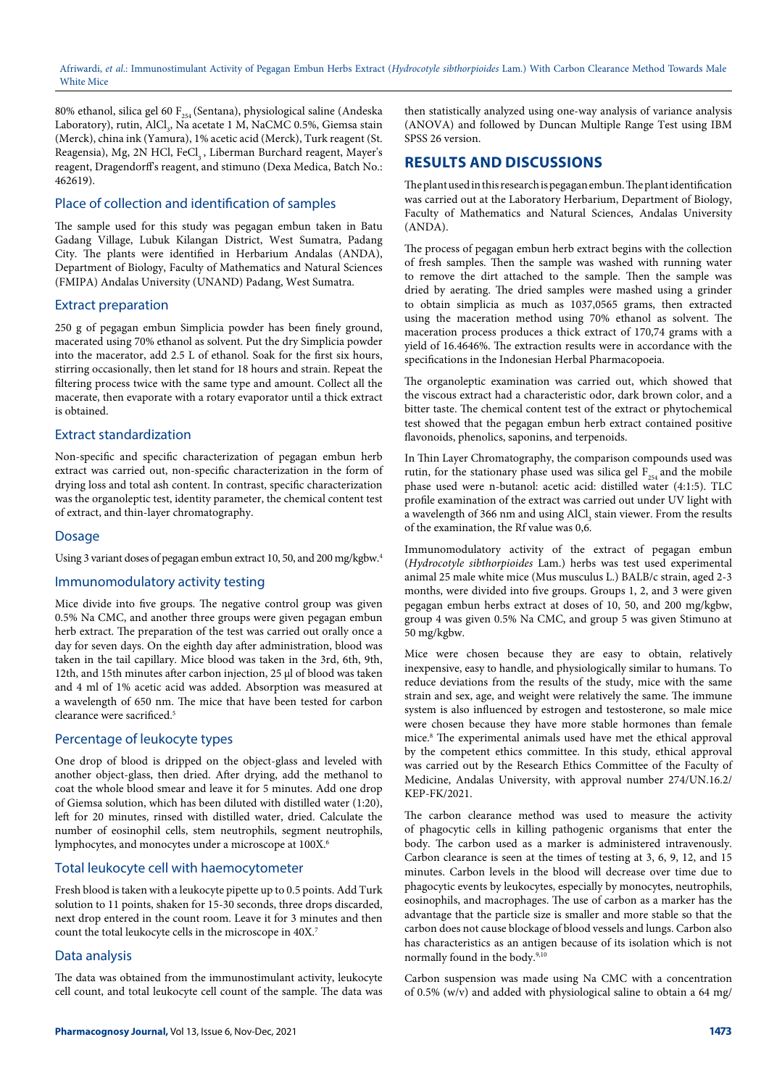80% ethanol, silica gel 60  $F_{254}$  (Sentana), physiological saline (Andeska Laboratory), rutin, AlCl<sub>3</sub>, Na acetate 1 M, NaCMC 0.5%, Giemsa stain (Merck), china ink (Yamura), 1% acetic acid (Merck), Turk reagent (St. Reagensia), Mg, 2N HCl, FeCl<sub>2</sub>, Liberman Burchard reagent, Mayer's reagent, Dragendorff's reagent, and stimuno (Dexa Medica, Batch No.: 462619).

## Place of collection and identification of samples

The sample used for this study was pegagan embun taken in Batu Gadang Village, Lubuk Kilangan District, West Sumatra, Padang City. The plants were identified in Herbarium Andalas (ANDA), Department of Biology, Faculty of Mathematics and Natural Sciences (FMIPA) Andalas University (UNAND) Padang, West Sumatra.

#### Extract preparation

250 g of pegagan embun Simplicia powder has been finely ground, macerated using 70% ethanol as solvent. Put the dry Simplicia powder into the macerator, add 2.5 L of ethanol. Soak for the first six hours, stirring occasionally, then let stand for 18 hours and strain. Repeat the filtering process twice with the same type and amount. Collect all the macerate, then evaporate with a rotary evaporator until a thick extract is obtained.

## Extract standardization

Non-specific and specific characterization of pegagan embun herb extract was carried out, non-specific characterization in the form of drying loss and total ash content. In contrast, specific characterization was the organoleptic test, identity parameter, the chemical content test of extract, and thin-layer chromatography.

## Dosage

Using 3 variant doses of pegagan embun extract 10, 50, and 200 mg/kgbw.4

#### Immunomodulatory activity testing

Mice divide into five groups. The negative control group was given 0.5% Na CMC, and another three groups were given pegagan embun herb extract. The preparation of the test was carried out orally once a day for seven days. On the eighth day after administration, blood was taken in the tail capillary. Mice blood was taken in the 3rd, 6th, 9th, 12th, and 15th minutes after carbon injection, 25 µl of blood was taken and 4 ml of 1% acetic acid was added. Absorption was measured at a wavelength of 650 nm. The mice that have been tested for carbon clearance were sacrificed.5

#### Percentage of leukocyte types

One drop of blood is dripped on the object-glass and leveled with another object-glass, then dried. After drying, add the methanol to coat the whole blood smear and leave it for 5 minutes. Add one drop of Giemsa solution, which has been diluted with distilled water (1:20), left for 20 minutes, rinsed with distilled water, dried. Calculate the number of eosinophil cells, stem neutrophils, segment neutrophils, lymphocytes, and monocytes under a microscope at 100X.6

#### Total leukocyte cell with haemocytometer

Fresh blood is taken with a leukocyte pipette up to 0.5 points. Add Turk solution to 11 points, shaken for 15-30 seconds, three drops discarded, next drop entered in the count room. Leave it for 3 minutes and then count the total leukocyte cells in the microscope in 40X.7

#### Data analysis

The data was obtained from the immunostimulant activity, leukocyte cell count, and total leukocyte cell count of the sample. The data was

then statistically analyzed using one-way analysis of variance analysis (ANOVA) and followed by Duncan Multiple Range Test using IBM SPSS 26 version.

## **RESULTS AND DISCUSSIONS**

The plant used in this research is pegagan embun. The plant identification was carried out at the Laboratory Herbarium, Department of Biology, Faculty of Mathematics and Natural Sciences, Andalas University (ANDA).

The process of pegagan embun herb extract begins with the collection of fresh samples. Then the sample was washed with running water to remove the dirt attached to the sample. Then the sample was dried by aerating. The dried samples were mashed using a grinder to obtain simplicia as much as 1037,0565 grams, then extracted using the maceration method using 70% ethanol as solvent. The maceration process produces a thick extract of 170,74 grams with a yield of 16.4646%. The extraction results were in accordance with the specifications in the Indonesian Herbal Pharmacopoeia.

The organoleptic examination was carried out, which showed that the viscous extract had a characteristic odor, dark brown color, and a bitter taste. The chemical content test of the extract or phytochemical test showed that the pegagan embun herb extract contained positive flavonoids, phenolics, saponins, and terpenoids.

In Thin Layer Chromatography, the comparison compounds used was rutin, for the stationary phase used was silica gel  $F_{254}$  and the mobile phase used were n-butanol: acetic acid: distilled water (4:1:5). TLC profile examination of the extract was carried out under UV light with a wavelength of 366 nm and using  $\text{AlCl}_3$  stain viewer. From the results of the examination, the Rf value was 0,6.

Immunomodulatory activity of the extract of pegagan embun (*Hydrocotyle sibthorpioides* Lam.) herbs was test used experimental animal 25 male white mice (Mus musculus L.) BALB/c strain, aged 2-3 months, were divided into five groups. Groups 1, 2, and 3 were given pegagan embun herbs extract at doses of 10, 50, and 200 mg/kgbw, group 4 was given 0.5% Na CMC, and group 5 was given Stimuno at 50 mg/kgbw.

Mice were chosen because they are easy to obtain, relatively inexpensive, easy to handle, and physiologically similar to humans. To reduce deviations from the results of the study, mice with the same strain and sex, age, and weight were relatively the same. The immune system is also influenced by estrogen and testosterone, so male mice were chosen because they have more stable hormones than female mice.8 The experimental animals used have met the ethical approval by the competent ethics committee. In this study, ethical approval was carried out by the Research Ethics Committee of the Faculty of Medicine, Andalas University, with approval number 274/UN.16.2/ KEP-FK/2021.

The carbon clearance method was used to measure the activity of phagocytic cells in killing pathogenic organisms that enter the body. The carbon used as a marker is administered intravenously. Carbon clearance is seen at the times of testing at 3, 6, 9, 12, and 15 minutes. Carbon levels in the blood will decrease over time due to phagocytic events by leukocytes, especially by monocytes, neutrophils, eosinophils, and macrophages. The use of carbon as a marker has the advantage that the particle size is smaller and more stable so that the carbon does not cause blockage of blood vessels and lungs. Carbon also has characteristics as an antigen because of its isolation which is not normally found in the body.<sup>9,10</sup>

Carbon suspension was made using Na CMC with a concentration of 0.5% (w/v) and added with physiological saline to obtain a 64 mg/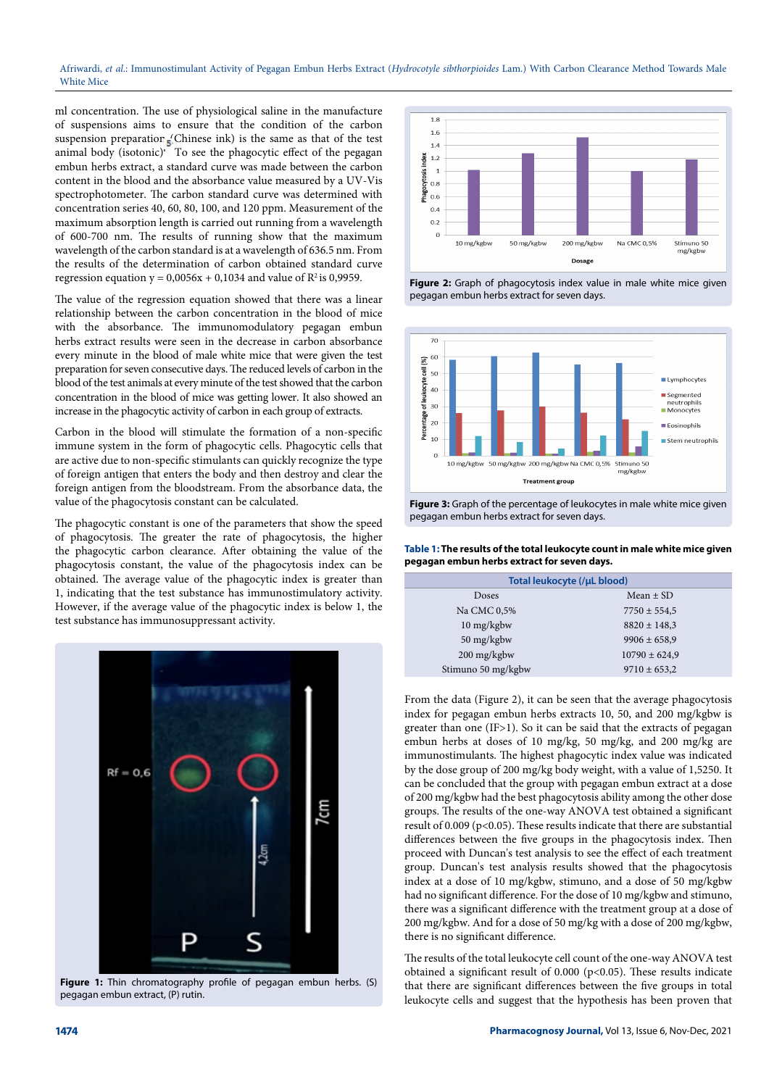ml concentration. The use of physiological saline in the manufacture of suspensions aims to ensure that the condition of the carbon suspension preparation (Chinese ink) is the same as that of the test animal body (isotonic)<sup>\*</sup> To see the phagocytic effect of the pegagan embun herbs extract, a standard curve was made between the carbon content in the blood and the absorbance value measured by a UV-Vis spectrophotometer. The carbon standard curve was determined with concentration series 40, 60, 80, 100, and 120 ppm. Measurement of the maximum absorption length is carried out running from a wavelength of 600-700 nm. The results of running show that the maximum wavelength of the carbon standard is at a wavelength of 636.5 nm. From the results of the determination of carbon obtained standard curve regression equation  $y = 0.0056x + 0.1034$  and value of  $R^2$  is 0.9959.

The value of the regression equation showed that there was a linear relationship between the carbon concentration in the blood of mice with the absorbance. The immunomodulatory pegagan embun herbs extract results were seen in the decrease in carbon absorbance every minute in the blood of male white mice that were given the test preparation for seven consecutive days. The reduced levels of carbon in the blood of the test animals at every minute of the test showed that the carbon concentration in the blood of mice was getting lower. It also showed an increase in the phagocytic activity of carbon in each group of extracts.

Carbon in the blood will stimulate the formation of a non-specific immune system in the form of phagocytic cells. Phagocytic cells that are active due to non-specific stimulants can quickly recognize the type of foreign antigen that enters the body and then destroy and clear the foreign antigen from the bloodstream. From the absorbance data, the value of the phagocytosis constant can be calculated.

The phagocytic constant is one of the parameters that show the speed of phagocytosis. The greater the rate of phagocytosis, the higher the phagocytic carbon clearance. After obtaining the value of the phagocytosis constant, the value of the phagocytosis index can be obtained. The average value of the phagocytic index is greater than 1, indicating that the test substance has immunostimulatory activity. However, if the average value of the phagocytic index is below 1, the test substance has immunosuppressant activity.



**Figure 1:** Thin chromatography profile of pegagan embun herbs. (S) pegagan embun extract, (P) rutin.



**Figure 2:** Graph of phagocytosis index value in male white mice given pegagan embun herbs extract for seven days.



**Figure 3:** Graph of the percentage of leukocytes in male white mice given pegagan embun herbs extract for seven days.

**Table 1: The results of the total leukocyte count in male white mice given pegagan embun herbs extract for seven days.**

| Total leukocyte (/µL blood) |                   |
|-----------------------------|-------------------|
| Doses                       | Mean $\pm$ SD     |
| Na CMC 0,5%                 | $7750 \pm 554,5$  |
| 10 mg/kgbw                  | $8820 \pm 148,3$  |
| 50 mg/kgbw                  | $9906 \pm 658,9$  |
| 200 mg/kgbw                 | $10790 \pm 624.9$ |
| Stimuno 50 mg/kgbw          | $9710 \pm 653,2$  |

From the data (Figure 2), it can be seen that the average phagocytosis index for pegagan embun herbs extracts 10, 50, and 200 mg/kgbw is greater than one (IF>1). So it can be said that the extracts of pegagan embun herbs at doses of 10 mg/kg, 50 mg/kg, and 200 mg/kg are immunostimulants. The highest phagocytic index value was indicated by the dose group of 200 mg/kg body weight, with a value of 1,5250. It can be concluded that the group with pegagan embun extract at a dose of 200 mg/kgbw had the best phagocytosis ability among the other dose groups. The results of the one-way ANOVA test obtained a significant result of 0.009 (p<0.05). These results indicate that there are substantial differences between the five groups in the phagocytosis index. Then proceed with Duncan's test analysis to see the effect of each treatment group. Duncan's test analysis results showed that the phagocytosis index at a dose of 10 mg/kgbw, stimuno, and a dose of 50 mg/kgbw had no significant difference. For the dose of 10 mg/kgbw and stimuno, there was a significant difference with the treatment group at a dose of 200 mg/kgbw. And for a dose of 50 mg/kg with a dose of 200 mg/kgbw, there is no significant difference.

The results of the total leukocyte cell count of the one-way ANOVA test obtained a significant result of 0.000 (p<0.05). These results indicate that there are significant differences between the five groups in total leukocyte cells and suggest that the hypothesis has been proven that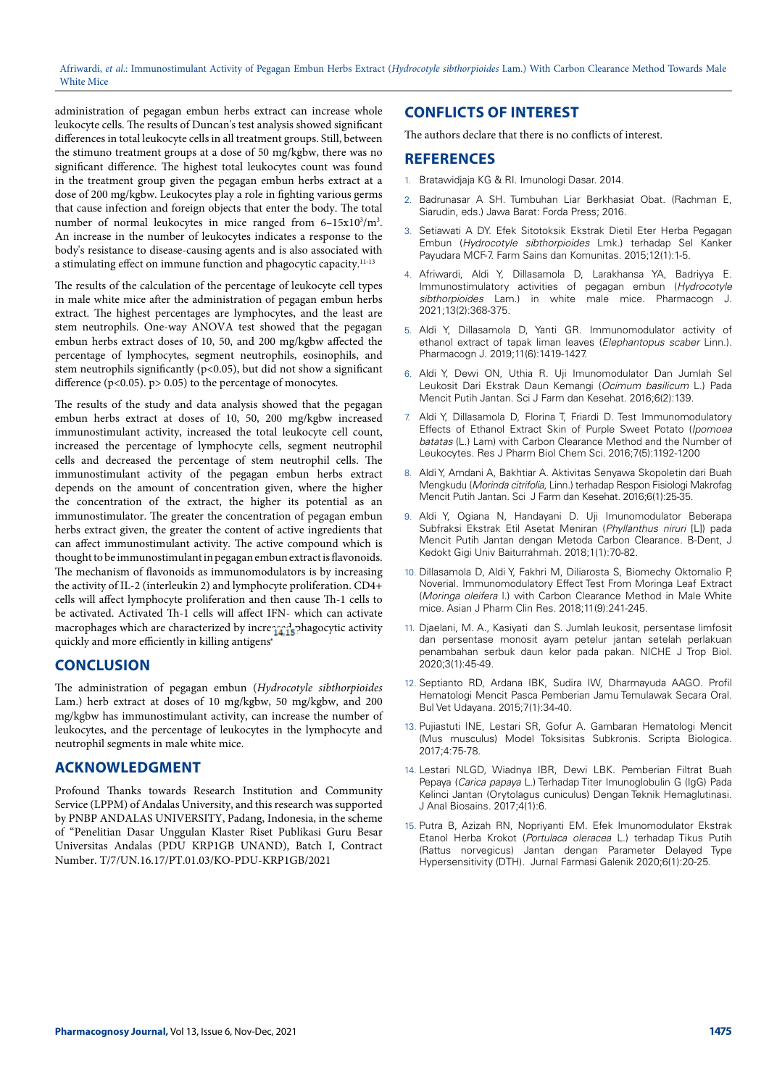administration of pegagan embun herbs extract can increase whole leukocyte cells. The results of Duncan's test analysis showed significant differences in total leukocyte cells in all treatment groups. Still, between the stimuno treatment groups at a dose of 50 mg/kgbw, there was no significant difference. The highest total leukocytes count was found in the treatment group given the pegagan embun herbs extract at a dose of 200 mg/kgbw. Leukocytes play a role in fighting various germs that cause infection and foreign objects that enter the body. The total number of normal leukocytes in mice ranged from 6-15x10<sup>3</sup>/m<sup>3</sup>. An increase in the number of leukocytes indicates a response to the body's resistance to disease-causing agents and is also associated with a stimulating effect on immune function and phagocytic capacity.11-13

The results of the calculation of the percentage of leukocyte cell types in male white mice after the administration of pegagan embun herbs extract. The highest percentages are lymphocytes, and the least are stem neutrophils. One-way ANOVA test showed that the pegagan embun herbs extract doses of 10, 50, and 200 mg/kgbw affected the percentage of lymphocytes, segment neutrophils, eosinophils, and stem neutrophils significantly ( $p$ <0.05), but did not show a significant difference ( $p$ <0.05).  $p$ > 0.05) to the percentage of monocytes.

The results of the study and data analysis showed that the pegagan embun herbs extract at doses of 10, 50, 200 mg/kgbw increased immunostimulant activity, increased the total leukocyte cell count, increased the percentage of lymphocyte cells, segment neutrophil cells and decreased the percentage of stem neutrophil cells. The immunostimulant activity of the pegagan embun herbs extract depends on the amount of concentration given, where the higher the concentration of the extract, the higher its potential as an immunostimulator. The greater the concentration of pegagan embun herbs extract given, the greater the content of active ingredients that can affect immunostimulant activity. The active compound which is thought to be immunostimulant in pegagan embun extract is flavonoids. The mechanism of flavonoids as immunomodulators is by increasing the activity of IL-2 (interleukin 2) and lymphocyte proliferation. CD4+ cells will affect lymphocyte proliferation and then cause Th-1 cells to be activated. Activated Th-1 cells will affect IFN- which can activate macrophages which are characterized by increased phagocytic activity quickly and more efficiently in killing antigens

# **CONCLUSION**

The administration of pegagan embun (*Hydrocotyle sibthorpioides* Lam.) herb extract at doses of 10 mg/kgbw, 50 mg/kgbw, and 200 mg/kgbw has immunostimulant activity, can increase the number of leukocytes, and the percentage of leukocytes in the lymphocyte and neutrophil segments in male white mice.

## **ACKNOWLEDGMENT**

Profound Thanks towards Research Institution and Community Service (LPPM) of Andalas University, and this research was supported by PNBP ANDALAS UNIVERSITY, Padang, Indonesia, in the scheme of "Penelitian Dasar Unggulan Klaster Riset Publikasi Guru Besar Universitas Andalas (PDU KRP1GB UNAND), Batch I, Contract Number. T/7/UN.16.17/PT.01.03/KO-PDU-KRP1GB/2021

# **CONFLICTS OF INTEREST**

The authors declare that there is no conflicts of interest.

# **REFERENCES**

- 1. Bratawidjaja KG & RI. Imunologi Dasar. 2014.
- 2. Badrunasar A SH. Tumbuhan Liar Berkhasiat Obat. (Rachman E, Siarudin, eds.) Jawa Barat: Forda Press; 2016.
- Setiawati A DY. Efek Sitotoksik Ekstrak Dietil Eter Herba Pegagan Embun (*Hydrocotyle sibthorpioides* Lmk.) terhadap Sel Kanker Payudara MCF-7. Farm Sains dan Komunitas. 2015;12(1):1-5.
- 4. Afriwardi, Aldi Y, Dillasamola D, Larakhansa YA, Badriyya E. Immunostimulatory activities of pegagan embun (*Hydrocotyle sibthorpioides* Lam.) in white male mice. Pharmacogn J. 2021;13(2):368-375.
- 5. Aldi Y, Dillasamola D, Yanti GR. Immunomodulator activity of ethanol extract of tapak liman leaves (*Elephantopus scaber* Linn.). Pharmacogn J. 2019;11(6):1419-1427.
- 6. Aldi Y, Dewi ON, Uthia R. Uji Imunomodulator Dan Jumlah Sel Leukosit Dari Ekstrak Daun Kemangi (*Ocimum basilicum* L.) Pada Mencit Putih Jantan. Sci J Farm dan Kesehat. 2016;6(2):139.
- 7. Aldi Y, Dillasamola D, Florina T, Friardi D. Test Immunomodulatory Effects of Ethanol Extract Skin of Purple Sweet Potato (*Ipomoea batatas* (L.) Lam) with Carbon Clearance Method and the Number of Leukocytes. Res J Pharm Biol Chem Sci. 2016;7(5):1192-1200
- 8. Aldi Y, Amdani A, Bakhtiar A. Aktivitas Senyawa Skopoletin dari Buah Mengkudu (*Morinda citrifolia*, Linn.) terhadap Respon Fisiologi Makrofag Mencit Putih Jantan. Sci J Farm dan Kesehat. 2016;6(1):25-35.
- 9. Aldi Y, Ogiana N, Handayani D. Uji Imunomodulator Beberapa Subfraksi Ekstrak Etil Asetat Meniran (*Phyllanthus niruri* [L]) pada Mencit Putih Jantan dengan Metoda Carbon Clearance. B-Dent, J Kedokt Gigi Univ Baiturrahmah. 2018;1(1):70-82.
- 10. Dillasamola D, Aldi Y, Fakhri M, Diliarosta S, Biomechy Oktomalio P, Noverial. Immunomodulatory Effect Test From Moringa Leaf Extract (*Moringa oleifera* l.) with Carbon Clearance Method in Male White mice. Asian J Pharm Clin Res. 2018;11(9):241-245.
- 11. Djaelani, M. A., Kasiyati dan S. Jumlah leukosit, persentase limfosit dan persentase monosit ayam petelur jantan setelah perlakuan penambahan serbuk daun kelor pada pakan. NICHE J Trop Biol. 2020;3(1):45-49.
- 12. Septianto RD, Ardana IBK, Sudira IW, Dharmayuda AAGO. Profil Hematologi Mencit Pasca Pemberian Jamu Temulawak Secara Oral. Bul Vet Udayana. 2015;7(1):34-40.
- 13. Pujiastuti INE, Lestari SR, Gofur A. Gambaran Hematologi Mencit (Mus musculus) Model Toksisitas Subkronis. Scripta Biologica. 2017;4:75-78.
- 14. Lestari NLGD, Wiadnya IBR, Dewi LBK. Pemberian Filtrat Buah Pepaya (*Carica papaya* L.) Terhadap Titer Imunoglobulin G (IgG) Pada Kelinci Jantan (Orytolagus cuniculus) Dengan Teknik Hemaglutinasi. J Anal Biosains. 2017;4(1):6.
- 15. Putra B, Azizah RN, Nopriyanti EM. Efek Imunomodulator Ekstrak Etanol Herba Krokot (*Portulaca oleracea* L.) terhadap Tikus Putih (Rattus norvegicus) Jantan dengan Parameter Delayed Type Hypersensitivity (DTH). Jurnal Farmasi Galenik 2020;6(1):20-25.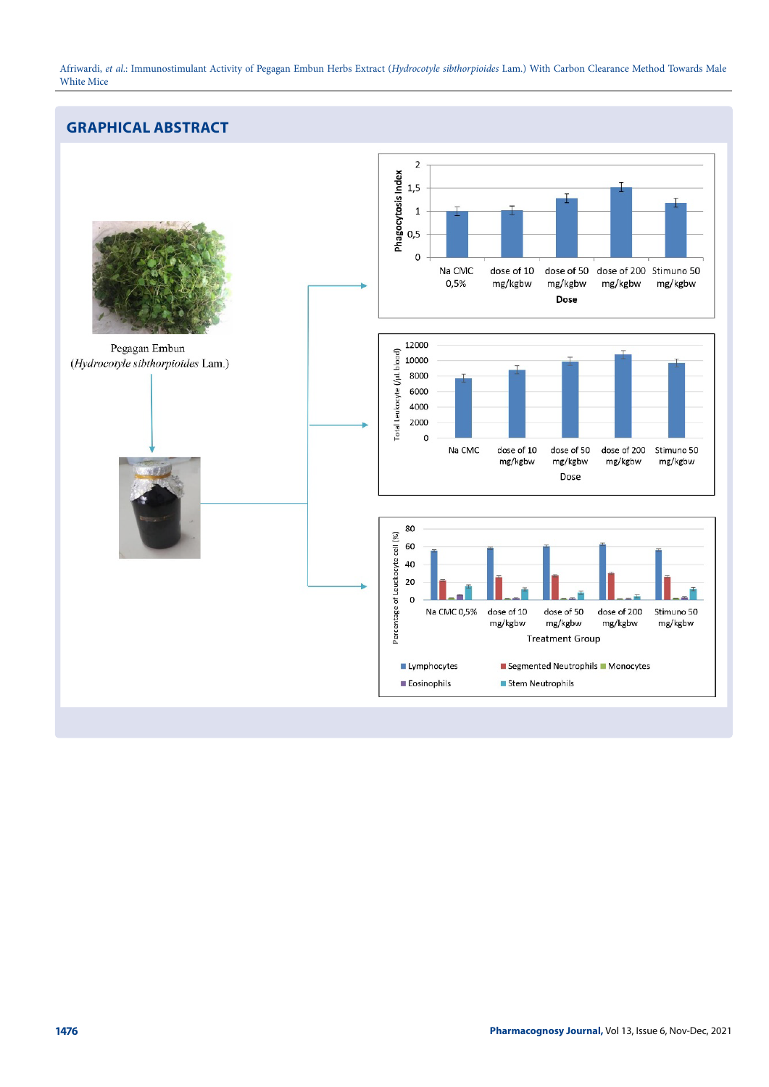